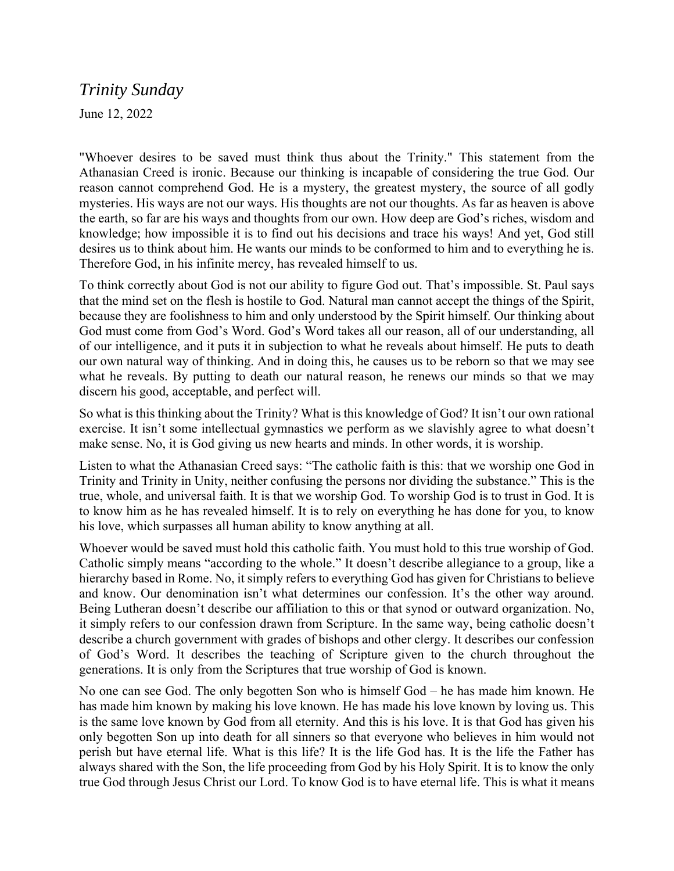## *Trinity Sunday*

June 12, 2022

"Whoever desires to be saved must think thus about the Trinity." This statement from the Athanasian Creed is ironic. Because our thinking is incapable of considering the true God. Our reason cannot comprehend God. He is a mystery, the greatest mystery, the source of all godly mysteries. His ways are not our ways. His thoughts are not our thoughts. As far as heaven is above the earth, so far are his ways and thoughts from our own. How deep are God's riches, wisdom and knowledge; how impossible it is to find out his decisions and trace his ways! And yet, God still desires us to think about him. He wants our minds to be conformed to him and to everything he is. Therefore God, in his infinite mercy, has revealed himself to us.

To think correctly about God is not our ability to figure God out. That's impossible. St. Paul says that the mind set on the flesh is hostile to God. Natural man cannot accept the things of the Spirit, because they are foolishness to him and only understood by the Spirit himself. Our thinking about God must come from God's Word. God's Word takes all our reason, all of our understanding, all of our intelligence, and it puts it in subjection to what he reveals about himself. He puts to death our own natural way of thinking. And in doing this, he causes us to be reborn so that we may see what he reveals. By putting to death our natural reason, he renews our minds so that we may discern his good, acceptable, and perfect will.

So what is this thinking about the Trinity? What is this knowledge of God? It isn't our own rational exercise. It isn't some intellectual gymnastics we perform as we slavishly agree to what doesn't make sense. No, it is God giving us new hearts and minds. In other words, it is worship.

Listen to what the Athanasian Creed says: "The catholic faith is this: that we worship one God in Trinity and Trinity in Unity, neither confusing the persons nor dividing the substance." This is the true, whole, and universal faith. It is that we worship God. To worship God is to trust in God. It is to know him as he has revealed himself. It is to rely on everything he has done for you, to know his love, which surpasses all human ability to know anything at all.

Whoever would be saved must hold this catholic faith. You must hold to this true worship of God. Catholic simply means "according to the whole." It doesn't describe allegiance to a group, like a hierarchy based in Rome. No, it simply refers to everything God has given for Christians to believe and know. Our denomination isn't what determines our confession. It's the other way around. Being Lutheran doesn't describe our affiliation to this or that synod or outward organization. No, it simply refers to our confession drawn from Scripture. In the same way, being catholic doesn't describe a church government with grades of bishops and other clergy. It describes our confession of God's Word. It describes the teaching of Scripture given to the church throughout the generations. It is only from the Scriptures that true worship of God is known.

No one can see God. The only begotten Son who is himself God – he has made him known. He has made him known by making his love known. He has made his love known by loving us. This is the same love known by God from all eternity. And this is his love. It is that God has given his only begotten Son up into death for all sinners so that everyone who believes in him would not perish but have eternal life. What is this life? It is the life God has. It is the life the Father has always shared with the Son, the life proceeding from God by his Holy Spirit. It is to know the only true God through Jesus Christ our Lord. To know God is to have eternal life. This is what it means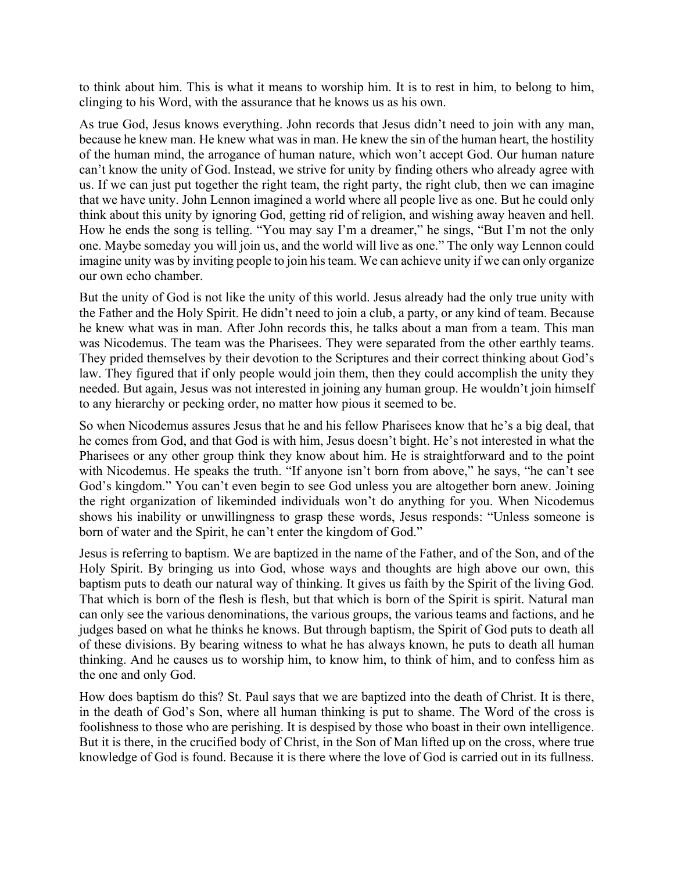to think about him. This is what it means to worship him. It is to rest in him, to belong to him, clinging to his Word, with the assurance that he knows us as his own.

As true God, Jesus knows everything. John records that Jesus didn't need to join with any man, because he knew man. He knew what was in man. He knew the sin of the human heart, the hostility of the human mind, the arrogance of human nature, which won't accept God. Our human nature can't know the unity of God. Instead, we strive for unity by finding others who already agree with us. If we can just put together the right team, the right party, the right club, then we can imagine that we have unity. John Lennon imagined a world where all people live as one. But he could only think about this unity by ignoring God, getting rid of religion, and wishing away heaven and hell. How he ends the song is telling. "You may say I'm a dreamer," he sings, "But I'm not the only one. Maybe someday you will join us, and the world will live as one." The only way Lennon could imagine unity was by inviting people to join his team. We can achieve unity if we can only organize our own echo chamber.

But the unity of God is not like the unity of this world. Jesus already had the only true unity with the Father and the Holy Spirit. He didn't need to join a club, a party, or any kind of team. Because he knew what was in man. After John records this, he talks about a man from a team. This man was Nicodemus. The team was the Pharisees. They were separated from the other earthly teams. They prided themselves by their devotion to the Scriptures and their correct thinking about God's law. They figured that if only people would join them, then they could accomplish the unity they needed. But again, Jesus was not interested in joining any human group. He wouldn't join himself to any hierarchy or pecking order, no matter how pious it seemed to be.

So when Nicodemus assures Jesus that he and his fellow Pharisees know that he's a big deal, that he comes from God, and that God is with him, Jesus doesn't bight. He's not interested in what the Pharisees or any other group think they know about him. He is straightforward and to the point with Nicodemus. He speaks the truth. "If anyone isn't born from above," he says, "he can't see God's kingdom." You can't even begin to see God unless you are altogether born anew. Joining the right organization of likeminded individuals won't do anything for you. When Nicodemus shows his inability or unwillingness to grasp these words, Jesus responds: "Unless someone is born of water and the Spirit, he can't enter the kingdom of God."

Jesus is referring to baptism. We are baptized in the name of the Father, and of the Son, and of the Holy Spirit. By bringing us into God, whose ways and thoughts are high above our own, this baptism puts to death our natural way of thinking. It gives us faith by the Spirit of the living God. That which is born of the flesh is flesh, but that which is born of the Spirit is spirit. Natural man can only see the various denominations, the various groups, the various teams and factions, and he judges based on what he thinks he knows. But through baptism, the Spirit of God puts to death all of these divisions. By bearing witness to what he has always known, he puts to death all human thinking. And he causes us to worship him, to know him, to think of him, and to confess him as the one and only God.

How does baptism do this? St. Paul says that we are baptized into the death of Christ. It is there, in the death of God's Son, where all human thinking is put to shame. The Word of the cross is foolishness to those who are perishing. It is despised by those who boast in their own intelligence. But it is there, in the crucified body of Christ, in the Son of Man lifted up on the cross, where true knowledge of God is found. Because it is there where the love of God is carried out in its fullness.